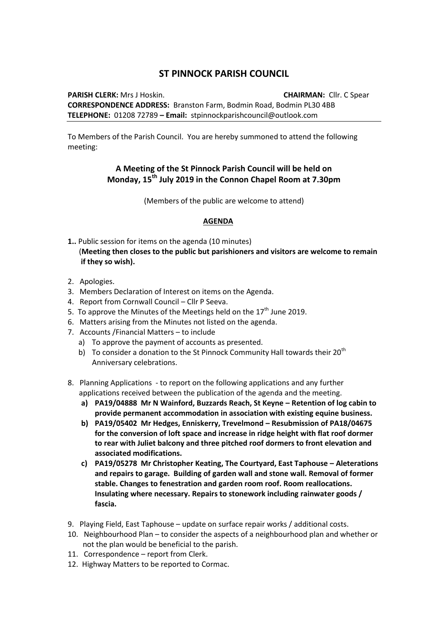## **ST PINNOCK PARISH COUNCIL**

**PARISH CLERK:** Mrs J Hoskin. **CHAIRMAN:** Cllr. C Spear **CORRESPONDENCE ADDRESS:** Branston Farm, Bodmin Road, Bodmin PL30 4BB **TELEPHONE:** 01208 72789 **– Email:** stpinnockparishcouncil@outlook.com

To Members of the Parish Council. You are hereby summoned to attend the following meeting:

## **A Meeting of the St Pinnock Parish Council will be held on Monday, 15th July 2019 in the Connon Chapel Room at 7.30pm**

(Members of the public are welcome to attend)

## **AGENDA**

- **1..** Public session for items on the agenda (10 minutes) (**Meeting then closes to the public but parishioners and visitors are welcome to remain if they so wish).**
- 2. Apologies.
- 3. Members Declaration of Interest on items on the Agenda.
- 4. Report from Cornwall Council Cllr P Seeva.
- 5. To approve the Minutes of the Meetings held on the  $17<sup>th</sup>$  June 2019.
- 6. Matters arising from the Minutes not listed on the agenda.
- 7. Accounts /Financial Matters to include
	- a) To approve the payment of accounts as presented.
	- b) To consider a donation to the St Pinnock Community Hall towards their  $20<sup>th</sup>$ Anniversary celebrations.
- 8. Planning Applications to report on the following applications and any further applications received between the publication of the agenda and the meeting.
	- **a) PA19/04888 Mr N Wainford, Buzzards Reach, St Keyne – Retention of log cabin to provide permanent accommodation in association with existing equine business.**
	- **b) PA19/05402 Mr Hedges, Enniskerry, Trevelmond – Resubmission of PA18/04675 for the conversion of loft space and increase in ridge height with flat roof dormer to rear with Juliet balcony and three pitched roof dormers to front elevation and associated modifications.**
	- **c) PA19/05278 Mr Christopher Keating, The Courtyard, East Taphouse – Aleterations and repairs to garage. Building of garden wall and stone wall. Removal of former stable. Changes to fenestration and garden room roof. Room reallocations. Insulating where necessary. Repairs to stonework including rainwater goods / fascia.**
- 9. Playing Field, East Taphouse update on surface repair works / additional costs.
- 10. Neighbourhood Plan to consider the aspects of a neighbourhood plan and whether or not the plan would be beneficial to the parish.
- 11. Correspondence report from Clerk.
- 12. Highway Matters to be reported to Cormac.